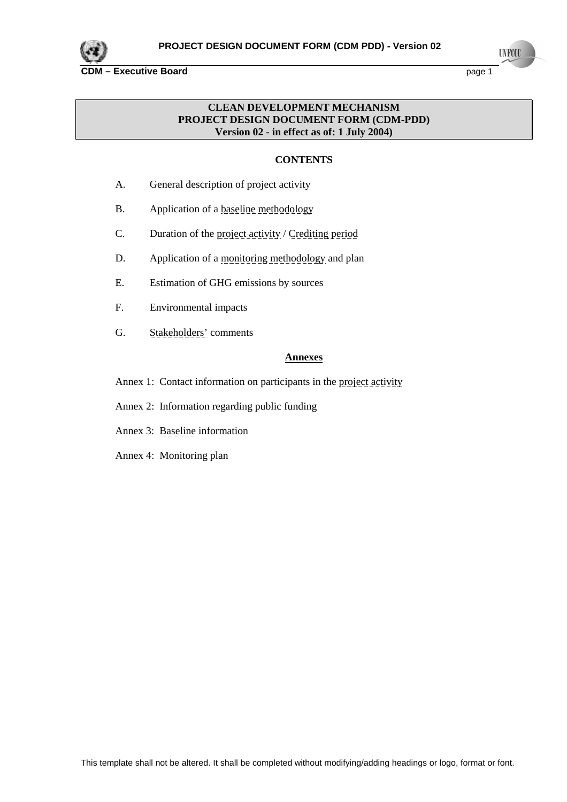

**INFOCO** 

## **CDM – Executive Board page 1**

# **CLEAN DEVELOPMENT MECHANISM PROJECT DESIGN DOCUMENT FORM (CDM-PDD) Version 02 - in effect as of: 1 July 2004)**

# **CONTENTS**

- A. General description of project activity
- B. Application of a baseline methodology
- C. Duration of the project activity / Crediting period
- D. Application of a monitoring methodology and plan
- E. Estimation of GHG emissions by sources
- F. Environmental impacts
- G. Stakeholders' comments

## **Annexes**

- Annex 1: Contact information on participants in the project activity
- Annex 2: Information regarding public funding
- Annex 3: Baseline information
- Annex 4: Monitoring plan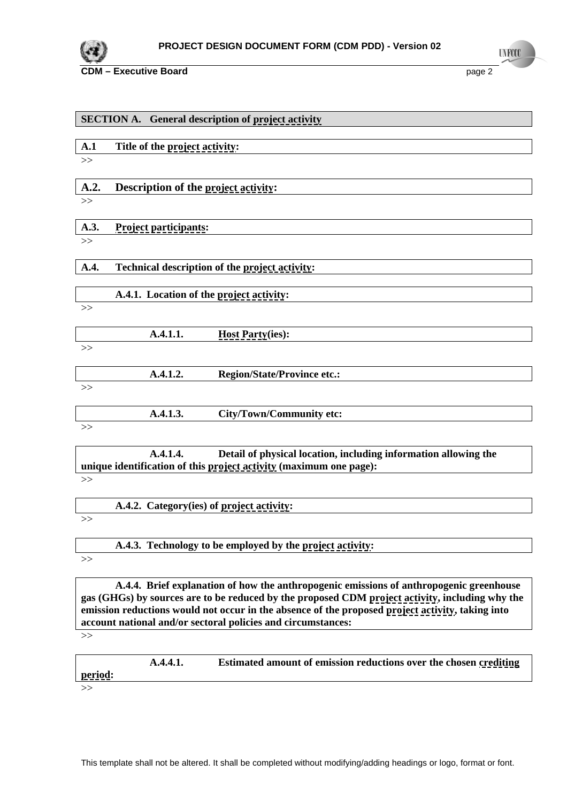

**UNFCCC** 

|       | <b>SECTION A. General description of project activity</b> |                                                                    |  |  |  |  |  |
|-------|-----------------------------------------------------------|--------------------------------------------------------------------|--|--|--|--|--|
|       |                                                           |                                                                    |  |  |  |  |  |
| A.1   | Title of the project activity:                            |                                                                    |  |  |  |  |  |
| $>>$  |                                                           |                                                                    |  |  |  |  |  |
| A.2.  |                                                           |                                                                    |  |  |  |  |  |
|       | Description of the project activity:                      |                                                                    |  |  |  |  |  |
| $>>$  |                                                           |                                                                    |  |  |  |  |  |
| A.3.  | <b>Project participants:</b>                              |                                                                    |  |  |  |  |  |
| >>    |                                                           |                                                                    |  |  |  |  |  |
| A.4.  |                                                           | Technical description of the project activity:                     |  |  |  |  |  |
|       | A.4.1. Location of the project activity:                  |                                                                    |  |  |  |  |  |
| >>    |                                                           |                                                                    |  |  |  |  |  |
|       |                                                           |                                                                    |  |  |  |  |  |
|       | A.4.1.1.                                                  | <b>Host Party(ies):</b>                                            |  |  |  |  |  |
| >>    |                                                           |                                                                    |  |  |  |  |  |
|       | A.4.1.2.                                                  | <b>Region/State/Province etc.:</b>                                 |  |  |  |  |  |
| >>    |                                                           |                                                                    |  |  |  |  |  |
|       | A.4.1.3.                                                  | City/Town/Community etc:                                           |  |  |  |  |  |
| $\gg$ |                                                           |                                                                    |  |  |  |  |  |
|       | A.4.1.4.                                                  | Detail of physical location, including information allowing the    |  |  |  |  |  |
|       |                                                           | unique identification of this project activity (maximum one page): |  |  |  |  |  |
| $\gg$ |                                                           |                                                                    |  |  |  |  |  |

| <b>A.4.2.</b><br>Category(ies) of <u>project activity</u> : |  |
|-------------------------------------------------------------|--|
|                                                             |  |

 **A.4.3. Technology to be employed by the project activity:**  >>

 **A.4.4. Brief explanation of how the anthropogenic emissions of anthropogenic greenhouse gas (GHGs) by sources are to be reduced by the proposed CDM project activity, including why the emission reductions would not occur in the absence of the proposed project activity, taking into account national and/or sectoral policies and circumstances:**

>>

 **A.4.4.1. Estimated amount of emission reductions over the chosen crediting period:**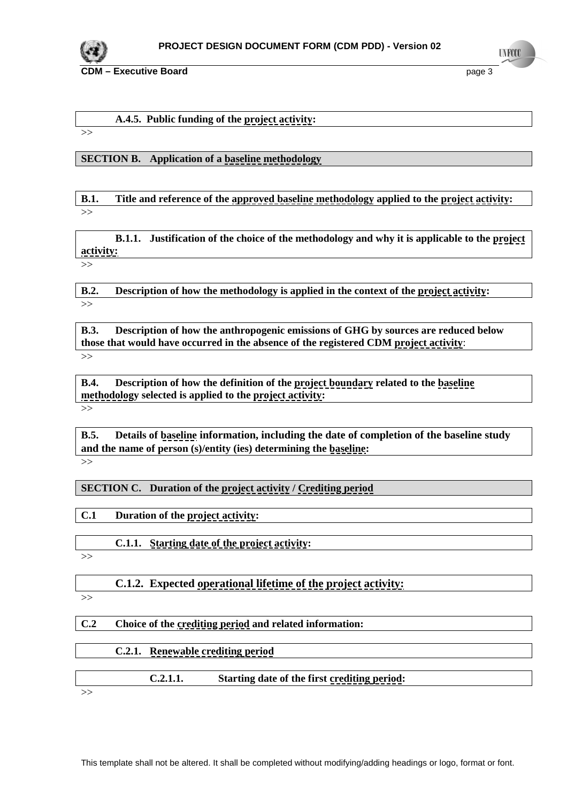

# **A.4.5. Public funding of the project activity:**

>>

# **SECTION B. Application of a baseline methodology**

**B.1. Title and reference of the approved baseline methodology applied to the project activity:**  >>

 **B.1.1. Justification of the choice of the methodology and why it is applicable to the project activity:**

>>

**B.2. Description of how the methodology is applied in the context of the project activity:**   $\gg$ 

**B.3. Description of how the anthropogenic emissions of GHG by sources are reduced below those that would have occurred in the absence of the registered CDM project activity**: >>

**B.4. Description of how the definition of the project boundary related to the baseline methodology selected is applied to the project activity:** >>

**B.5. Details of baseline information, including the date of completion of the baseline study and the name of person (s)/entity (ies) determining the baseline:** 

 $\gg$ 

# **SECTION C. Duration of the project activity / Crediting period**

**C.1 Duration of the project activity:** 

 **C.1.1. Starting date of the project activity:**

>>

 **C.1.2. Expected operational lifetime of the project activity:**

>>

# **C.2 Choice of the crediting period and related information:**

| Renewable crediting period |                                              |
|----------------------------|----------------------------------------------|
|                            |                                              |
| C.2.1.1.                   | Starting date of the first crediting period: |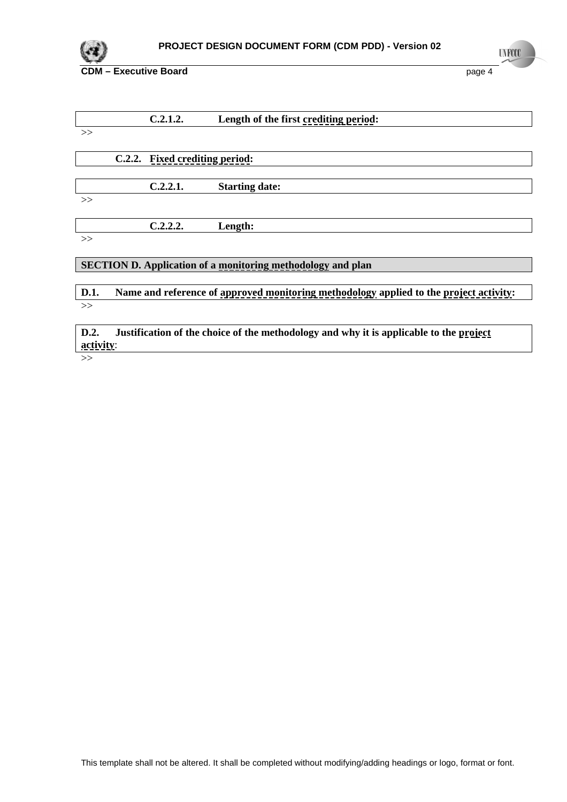

|       | C.2.1.2.                       | Length of the first crediting period: |
|-------|--------------------------------|---------------------------------------|
| >>    |                                |                                       |
|       |                                |                                       |
|       | C.2.2. Fixed crediting period: |                                       |
|       |                                |                                       |
|       | C.2.2.1.                       | <b>Starting date:</b>                 |
| $\gg$ |                                |                                       |
|       |                                |                                       |
|       | C.2.2.2.                       | Length:                               |
| >>    |                                |                                       |

## **SECTION D. Application of a monitoring methodology and plan**

# **D.1.** Name and reference of approved monitoring methodology applied to the project activity: >>

**D.2.** Justification of the choice of the methodology and why it is applicable to the project **activity**:

 $>\gt$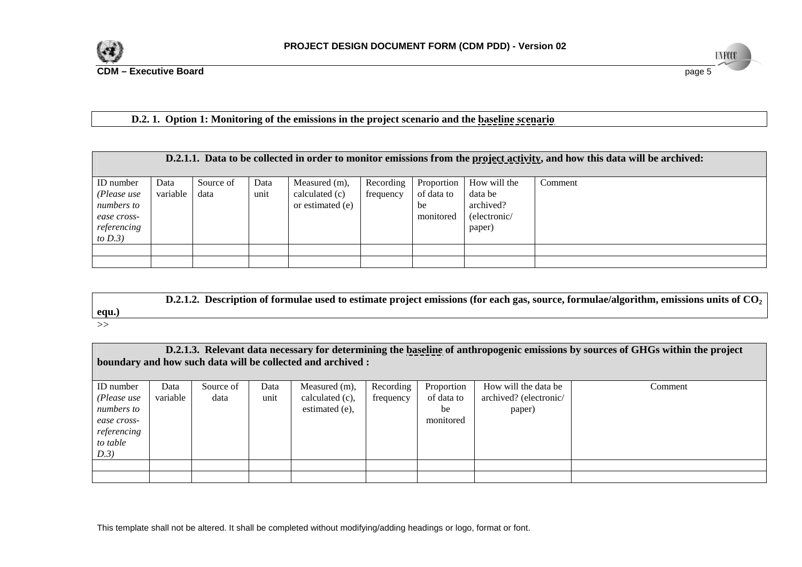

**CDM – Executive Board**

**UNFCCC d** the contract of the contract of the contract of the contract of the contract of the contract of the contract of the contract of the contract of the contract of the contract of the contract of the contract of the contra

# **D.2. 1. Option 1: Monitoring of the emissions in the project scenario and the baseline scenario**

|                                                                                    | D.2.1.1. Data to be collected in order to monitor emissions from the project activity, and how this data will be archived: |                   |              |                                                     |                        |                                             |                                                                |         |  |  |  |
|------------------------------------------------------------------------------------|----------------------------------------------------------------------------------------------------------------------------|-------------------|--------------|-----------------------------------------------------|------------------------|---------------------------------------------|----------------------------------------------------------------|---------|--|--|--|
| ID number<br>(Please use<br>numbers to<br>ease cross-<br>referencing<br>to $D.3$ ) | Data<br>variable                                                                                                           | Source of<br>data | Data<br>unit | Measured (m),<br>calculated (c)<br>or estimated (e) | Recording<br>frequency | Proportion<br>of data to<br>be<br>monitored | How will the<br>data be<br>archived?<br>(electronic/<br>paper) | Comment |  |  |  |
|                                                                                    |                                                                                                                            |                   |              |                                                     |                        |                                             |                                                                |         |  |  |  |

**D.2.1.2. Description of formulae used to estimate project emissions (for each gas, source, formulae/algorithm, emissions units of CO<sub>2</sub> equ.)** 

>>

| D.2.1.3. Relevant data necessary for determining the baseline of anthropogenic emissions by sources of GHGs within the project<br>boundary and how such data will be collected and archived : |                  |                   |              |                                                    |                        |                                             |                                                          |         |
|-----------------------------------------------------------------------------------------------------------------------------------------------------------------------------------------------|------------------|-------------------|--------------|----------------------------------------------------|------------------------|---------------------------------------------|----------------------------------------------------------|---------|
| ID number<br>(Please use<br>numbers to<br>ease cross-<br>referencing<br>to table<br>D.3)                                                                                                      | Data<br>variable | Source of<br>data | Data<br>unit | Measured (m),<br>calculated (c).<br>estimated (e), | Recording<br>frequency | Proportion<br>of data to<br>be<br>monitored | How will the data be<br>archived? (electronic/<br>paper) | Comment |
|                                                                                                                                                                                               |                  |                   |              |                                                    |                        |                                             |                                                          |         |

This template shall not be altered. It shall be completed without modifying/adding headings or logo, format or font.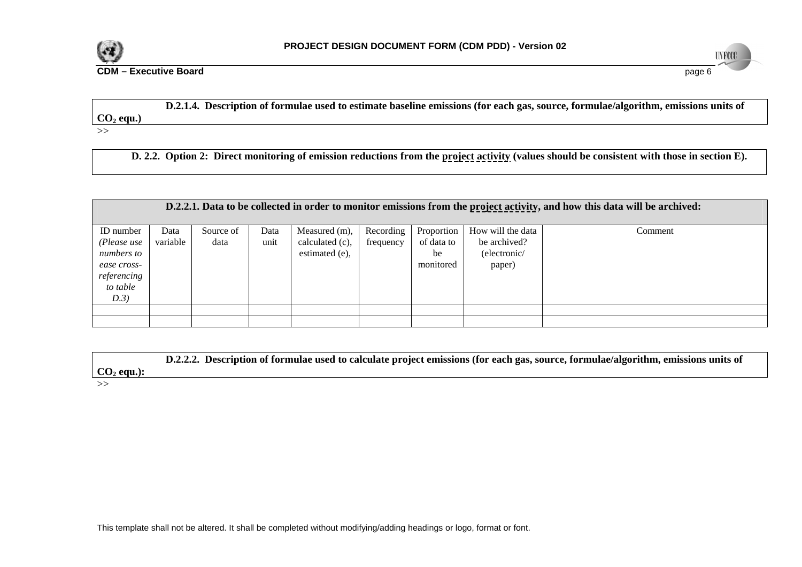

**d** the contract of the contract of the contract of the contract of the contract of the contract of the contract of the contract of the contract of the contract of the contract of the contract of the contract of the contra

**UNFCCC** 

**CDM – Executive Board**

# **D.2.1.4. Description of formulae used to estimate baseline emissions (for each gas, source, formulae/algorithm, emissions units of**  CO<sub>2</sub> equ.)

>>

 **D. 2.2. Option 2: Direct monitoring of emission reductions from the project activity (values should be consistent with those in section E).**

|                                                                                          | D.2.2.1. Data to be collected in order to monitor emissions from the project activity, and how this data will be archived: |                   |              |                                                    |                        |                                             |                                                             |         |  |  |
|------------------------------------------------------------------------------------------|----------------------------------------------------------------------------------------------------------------------------|-------------------|--------------|----------------------------------------------------|------------------------|---------------------------------------------|-------------------------------------------------------------|---------|--|--|
| ID number<br>(Please use<br>numbers to<br>ease cross-<br>referencing<br>to table<br>D.3) | Data<br>variable                                                                                                           | Source of<br>data | Data<br>unit | Measured (m),<br>calculated (c),<br>estimated (e), | Recording<br>frequency | Proportion<br>of data to<br>be<br>monitored | How will the data<br>be archived?<br>(electronic/<br>paper) | Comment |  |  |
|                                                                                          |                                                                                                                            |                   |              |                                                    |                        |                                             |                                                             |         |  |  |
|                                                                                          |                                                                                                                            |                   |              |                                                    |                        |                                             |                                                             |         |  |  |

 **D.2.2.2. Description of formulae used to calculate project emissions (for each gas, source, formulae/algorithm, emissions units of**   $CO<sub>2</sub>$  equ.):

 $\gg$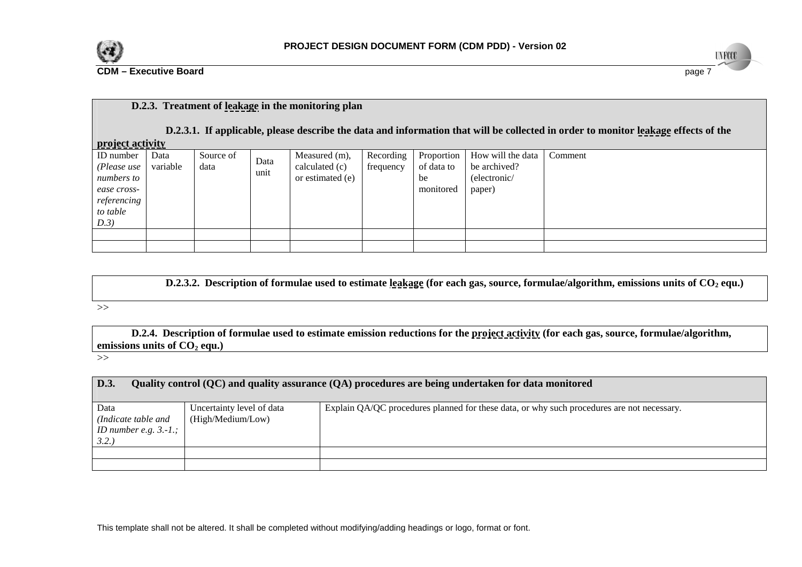

**d** and the contract of the contract of the contract of the contract of the contract of the contract of the contract of the contract of the contract of the contract of the contract of the contract of the contract of the co

**UNFCCC** 

# **D.2.3. Treatment of leakage in the monitoring plan**

 **D.2.3.1. If applicable, please describe the data and information that will be collected in order to monitor leakage effects of the** 

| <u>project activity</u> |
|-------------------------|

**CDM – Executive Board**

| .           |          |           |      |                  |           |                   |                   |         |
|-------------|----------|-----------|------|------------------|-----------|-------------------|-------------------|---------|
| ID number   | Data     | Source of | Data | Measured $(m)$ , | Recording | <b>Proportion</b> | How will the data | Comment |
| (Please use | variable | data      | unit | calculated (c)   | frequency | of data to        | be archived?      |         |
| numbers to  |          |           |      | or estimated (e) |           | be                | (electronic/      |         |
| ease cross- |          |           |      |                  |           | monitored         | paper)            |         |
| referencing |          |           |      |                  |           |                   |                   |         |
| to table    |          |           |      |                  |           |                   |                   |         |
| D.3)        |          |           |      |                  |           |                   |                   |         |
|             |          |           |      |                  |           |                   |                   |         |
|             |          |           |      |                  |           |                   |                   |         |

**D.2.3.2. Description of formulae used to estimate leakage (for each gas, source, formulae/algorithm, emissions units of CO<sub>2</sub> equ.)** 

### >>

 **D.2.4. Description of formulae used to estimate emission reductions for the project activity (for each gas, source, formulae/algorithm,**  emissions units of  $CO<sub>2</sub>$  equ.)

>>

#### **D.3.Quality control (QC) and quality assurance (QA) procedures are being undertaken for data monitored**

| Data<br>(Indicate table and<br>ID number e.g. $3.-1.$ ;<br>3.2. | Uncertainty level of data<br>(High/Medium/Low) | Explain QA/QC procedures planned for these data, or why such procedures are not necessary. |
|-----------------------------------------------------------------|------------------------------------------------|--------------------------------------------------------------------------------------------|
|                                                                 |                                                |                                                                                            |
|                                                                 |                                                |                                                                                            |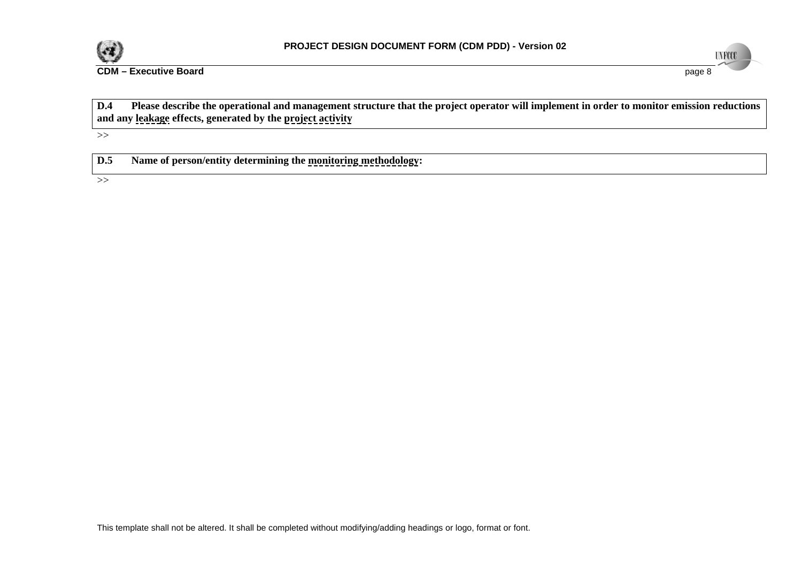

**d** and the set of the set of the set of the set of the set of the set of the set of the set of the set of the set of the set of the set of the set of the set of the set of the set of the set of the set of the set of the s

**UNFCCC** 

**CDM – Executive Board**

| <b>D.4</b> | Please describe the operational and management structure that the project operator will implement in order to monitor emission reductions |
|------------|-------------------------------------------------------------------------------------------------------------------------------------------|
|            | and any leakage effects, generated by the project activity                                                                                |
|            |                                                                                                                                           |

>>

| D.5 | Name of person/entity determining the monitoring methodology: |  |
|-----|---------------------------------------------------------------|--|
|-----|---------------------------------------------------------------|--|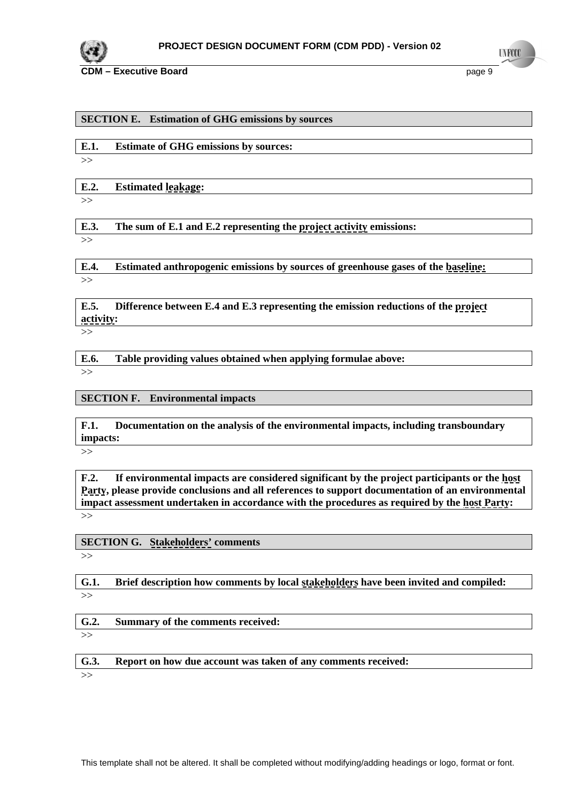

**CDM – Executive Board page 9 page 9 page 9 page 9 page 9 page 9 page 9 page 9 page 9 page 9 page 9** 

## **SECTION E. Estimation of GHG emissions by sources**

| <b>Estimate of GHG emissions by sources:</b> |
|----------------------------------------------|
|----------------------------------------------|

>>

**E.2. Estimated leakage:**

>>

**E.3. The sum of E.1 and E.2 representing the project activity emissions:**

>>

**E.4. Estimated anthropogenic emissions by sources of greenhouse gases of the baseline:** >>

**E.5. Difference between E.4 and E.3 representing the emission reductions of the project activity:**

 $\gt$ 

**E.6. Table providing values obtained when applying formulae above:**  $\rightarrow$ 

**SECTION F. Environmental impacts** 

**F.1. Documentation on the analysis of the environmental impacts, including transboundary impacts:**

 $>>$ 

**F.2. If environmental impacts are considered significant by the project participants or the host Party, please provide conclusions and all references to support documentation of an environmental impact assessment undertaken in accordance with the procedures as required by the host Party:**  >>

**SECTION G. Stakeholders' comments** 

 $>>$ 

**G.1. Brief description how comments by local stakeholders have been invited and compiled:** >>

**G.2. Summary of the comments received:**

 $>>$ 

**G.3. Report on how due account was taken of any comments received:**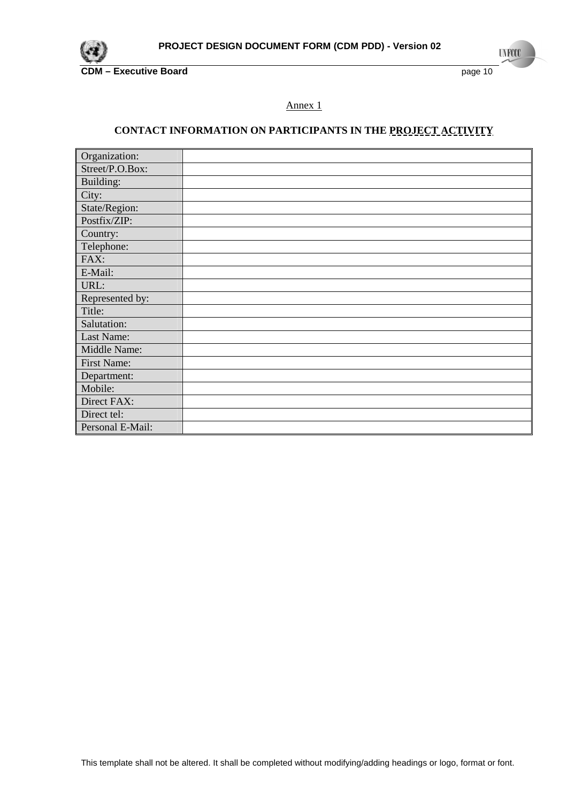

**INFCC** 

# Annex 1

# **CONTACT INFORMATION ON PARTICIPANTS IN THE PROJECT ACTIVITY**

| Organization:    |  |
|------------------|--|
| Street/P.O.Box:  |  |
| Building:        |  |
| City:            |  |
| State/Region:    |  |
| Postfix/ZIP:     |  |
| Country:         |  |
| Telephone:       |  |
| FAX:             |  |
| E-Mail:          |  |
| URL:             |  |
| Represented by:  |  |
| Title:           |  |
| Salutation:      |  |
| Last Name:       |  |
| Middle Name:     |  |
| First Name:      |  |
| Department:      |  |
| Mobile:          |  |
| Direct FAX:      |  |
| Direct tel:      |  |
| Personal E-Mail: |  |